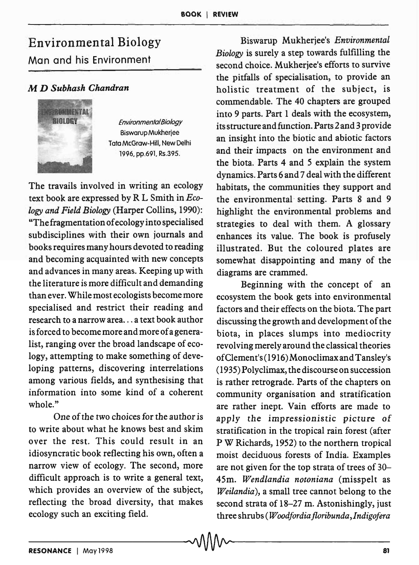## Environmental Biology Man and his Environment

## M *D Subhash Chandran*



*Environmental Biology*  Biswarup Mukherjee Toto McGraw-Hili, New Delhi 1996, pp.691. RS.39S.

The travails involved in writing an ecology text book are expressed by R L Smith in *Ecology and Field Biology* (Harper Collins, 1990): "The fragmentation of ecology into specialised subdisciplines with their own journals and books requires many hours devoted to reading and becoming acquainted with new concepts and advances in many areas. Keeping up with the literature is more difficult and demanding than ever. While most ecologists become more specialised and restrict their reading and research to a narrow area ... a text book author is forced to become more and more of a generalist, ranging over the broad landscape of ecology, attempting to make something of developing patterns, discovering interrelations among various fields, and synthesising that information into some kind of a coherent whole."

One of the two choices for the author is to write about what he knows best and skim over the rest. This could result in an idiosyncratic book reflecting his own, often a narrow view of ecology. The second, more difficult approach is to write a general text, which provides an overview of the subject, reflecting the broad diversity, that makes ecology such an exciting field.

Biswarup Mukherjee's *Environmental Biology* is surely a step towards fulfilling the second choice. Mukherjee's efforts to survive the pitfalls of specialisation, to provide an holistic treatment of the subject, is commendable. The 40 chapters are grouped into 9 parts. Part 1 deals with the ecosystem, its structure and function. Parts 2 and 3 provide an insight into the biotic and abiotic factors and their impacts on the environment and the biota. Parts 4 and 5 explain the system dynamics. Parts 6 and 7 deal with the different habitats, the communities they support and the environmental- setting. Parts 8 and 9 highlight the environmental problems and strategies to deal with them. A glossary enhances its value. The book is profusely illustrated. But the coloured plates are somewhat disappointing and many of the diagrams are crammed.

Beginning with the concept of an ecosystem the book gets into environmental factors and their effects on the biota. The part discussing the growth and development of the biota, in places slumps into mediocrity revolving merely around the classical theories of Clement's (1916) Monoclimax and Tansley's (1935) Polyclimax, the discourse on succession is rather retrograde. Parts of the chapters on community organisation and stratification are rather inept. Vain efforts are made to apply the impressionistic picture of stratification in the tropical rain forest (after P W Richards, 1952) to the northern tropical moist deciduous forests of India. Examples are not given for the top strata of trees of 30- 45m. *Wendlandia notoniana* (misspelt as *Weilandia),* a small tree cannot belong to the second strata of 18-27 m. Astonishingly, just three shrubs *(Woodfordia floribunda, I ndigofera*